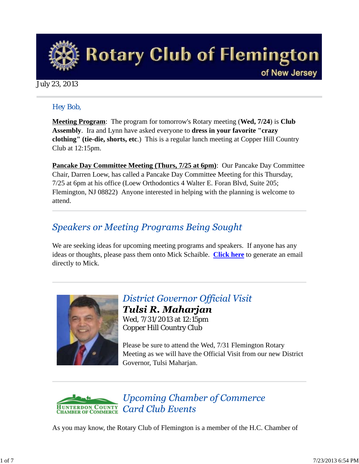

### July 23, 2013

## *Hey Bob,*

**Meeting Program**: The program for tomorrow's Rotary meeting (**Wed, 7/24**) is **Club Assembly**. Ira and Lynn have asked everyone to **dress in your favorite "crazy clothing" (tie-die, shorts, etc**.) This is a regular lunch meeting at Copper Hill Country Club at 12:15pm.

**Pancake Day Committee Meeting (Thurs, 7/25 at 6pm)**: Our Pancake Day Committee Chair, Darren Loew, has called a Pancake Day Committee Meeting for this Thursday, 7/25 at 6pm at his office (Loew Orthodontics 4 Walter E. Foran Blvd, Suite 205; Flemington, NJ 08822) Anyone interested in helping with the planning is welcome to attend.

# **Speakers or Meeting Programs Being Sought**

We are seeking ideas for upcoming meeting programs and speakers. If anyone has any ideas or thoughts, please pass them onto Mick Schaible. **Click here** to generate an email directly to Mick.



**District Governor Official Visit** Tulsi R. Maharjan Wed, 7/31/2013 at 12:15pm Copper Hill Country Club

Please be sure to attend the Wed, 7/31 Flemington Rotary Meeting as we will have the Official Visit from our new District Governor, Tulsi Maharjan.



As you may know, the Rotary Club of Flemington is a member of the H.C. Chamber of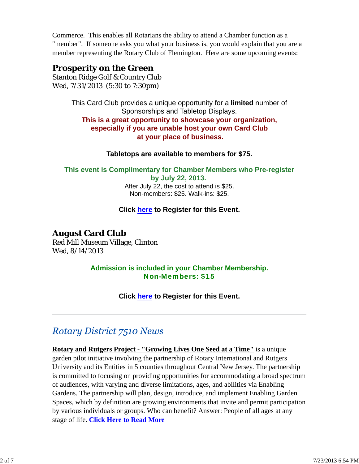Commerce. This enables all Rotarians the ability to attend a Chamber function as a "member". If someone asks you what your business is, you would explain that you are a member representing the Rotary Club of Flemington. Here are some upcoming events:

# **Prosperity on the Green**

Stanton Ridge Golf & Country Club Wed, 7/31/2013 (5:30 to 7:30pm)

> This Card Club provides a unique opportunity for a **limited** number of Sponsorships and Tabletop Displays. **This is a great opportunity to showcase your organization, especially if you are unable host your own Card Club at your place of business.**

### **Tabletops are available to members for \$75.**

### **This event is Complimentary for Chamber Members who Pre-register by July 22, 2013.** After July 22, the cost to attend is \$25.

Non-members: \$25. Walk-ins: \$25.

# **Click here to Register for this Event.**

# **August Card Club**

Red Mill Museum Village, Clinton Wed, 8/14/2013

### **Admission is included in your Chamber Membership.** Non-Members: \$15

**Click here to Register for this Event.**

# **Rotary District 7510 News**

**Rotary and Rutgers Project - "Growing Lives One Seed at a Time"** is a unique garden pilot initiative involving the partnership of Rotary International and Rutgers University and its Entities in 5 counties throughout Central New Jersey. The partnership is committed to focusing on providing opportunities for accommodating a broad spectrum of audiences, with varying and diverse limitations, ages, and abilities via Enabling Gardens. The partnership will plan, design, introduce, and implement Enabling Garden Spaces, which by definition are growing environments that invite and permit participation by various individuals or groups. Who can benefit? Answer: People of all ages at any stage of life. **Click Here to Read More**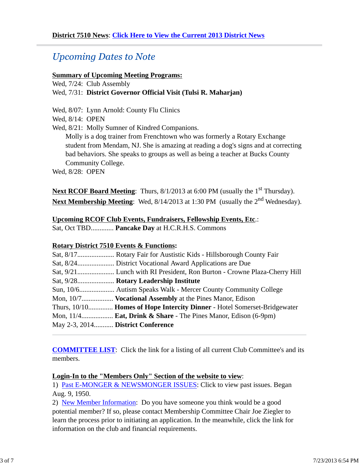# **Upcoming Dates to Note**

#### **Summary of Upcoming Meeting Programs:**

Wed, 7/24: Club Assembly

Wed, 7/31: **District Governor Official Visit (Tulsi R. Maharjan)**

Wed, 8/07: Lynn Arnold: County Flu Clinics

Wed, 8/14: OPEN

Wed, 8/21: Molly Sumner of Kindred Companions.

Molly is a dog trainer from Frenchtown who was formerly a Rotary Exchange student from Mendam, NJ. She is amazing at reading a dog's signs and at correcting bad behaviors. She speaks to groups as well as being a teacher at Bucks County Community College.

Wed, 8/28: OPEN

**Next RCOF Board Meeting**: Thurs, 8/1/2013 at 6:00 PM (usually the 1<sup>st</sup> Thursday). **Next Membership Meeting**: Wed, 8/14/2013 at 1:30 PM (usually the 2<sup>nd</sup> Wednesday).

### **Upcoming RCOF Club Events, Fundraisers, Fellowship Events, Etc**.:

Sat, Oct TBD............. **Pancake Day** at H.C.R.H.S. Commons

### **Rotary District 7510 Events & Functions:**

|                                   | Sat, 9/28 Rotary Leadership Institute                                       |
|-----------------------------------|-----------------------------------------------------------------------------|
|                                   |                                                                             |
|                                   | Mon, 10/7 <b>Vocational Assembly</b> at the Pines Manor, Edison             |
|                                   | Thurs, 10/10 Homes of Hope Intercity Dinner - Hotel Somerset-Bridgewater    |
|                                   | Mon, $11/4$ <b>Eat, Drink &amp; Share</b> - The Pines Manor, Edison (6-9pm) |
| May 2-3, 2014 District Conference |                                                                             |

**COMMITTEE LIST**: Click the link for a listing of all current Club Committee's and its members.

### **Login-In to the "Members Only" Section of the website to view**:

1) Past E-MONGER & NEWSMONGER ISSUES: Click to view past issues. Began Aug. 9, 1950.

2) New Member Information: Do you have someone you think would be a good potential member? If so, please contact Membership Committee Chair Joe Ziegler to learn the process prior to initiating an application. In the meanwhile, click the link for information on the club and financial requirements.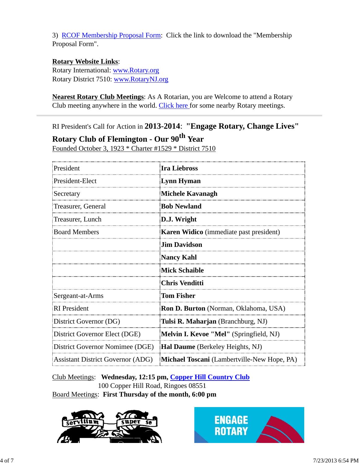3) RCOF Membership Proposal Form: Click the link to download the "Membership Proposal Form".

# **Rotary Website Links**:

Rotary International: www.Rotary.org Rotary District 7510: www.RotaryNJ.org

**Nearest Rotary Club Meetings**: As A Rotarian, you are Welcome to attend a Rotary Club meeting anywhere in the world. Click here for some nearby Rotary meetings.

RI President's Call for Action in **2013-2014**: **"Engage Rotary, Change Lives"**

# **Rotary Club of Flemington - Our 90th Year**

Founded October 3, 1923 \* Charter #1529 \* District 7510

| President                                | <b>Ira Liebross</b>                         |  |  |
|------------------------------------------|---------------------------------------------|--|--|
| President-Elect                          | Lynn Hyman                                  |  |  |
| Secretary                                | <b>Michele Kavanagh</b>                     |  |  |
| Treasurer, General                       | <b>Bob Newland</b>                          |  |  |
| Treasurer, Lunch                         | D.J. Wright                                 |  |  |
| <b>Board Members</b>                     | Karen Widico (immediate past president)     |  |  |
|                                          | <b>Jim Davidson</b>                         |  |  |
|                                          | <b>Nancy Kahl</b>                           |  |  |
|                                          | <b>Mick Schaible</b>                        |  |  |
|                                          | <b>Chris Venditti</b>                       |  |  |
| Sergeant-at-Arms                         | Tom Fisher                                  |  |  |
| <b>RI</b> President                      | Ron D. Burton (Norman, Oklahoma, USA)       |  |  |
| District Governor (DG)                   | Tulsi R. Maharjan (Branchburg, NJ)          |  |  |
| District Governor Elect (DGE)            | Melvin I. Kevoe "Mel" (Springfield, NJ)     |  |  |
| District Governor Nomimee (DGE)          | Hal Daume (Berkeley Heights, NJ)            |  |  |
| <b>Assistant District Governor (ADG)</b> | Michael Toscani (Lambertville-New Hope, PA) |  |  |

Club Meetings: **Wednesday, 12:15 pm, Copper Hill Country Club** 100 Copper Hill Road, Ringoes 08551 Board Meetings: **First Thursday of the month, 6:00 pm**



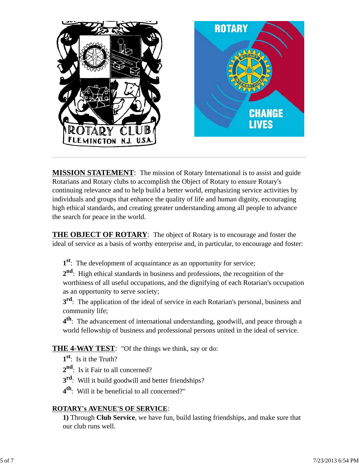

**MISSION STATEMENT**: The mission of Rotary International is to assist and guide Rotarians and Rotary clubs to accomplish the Object of Rotary to ensure Rotary's continuing relevance and to help build a better world, emphasizing service activities by individuals and groups that enhance the quality of life and human dignity, encouraging high ethical standards, and creating greater understanding among all people to advance the search for peace in the world.

**THE OBJECT OF ROTARY**: The object of Rotary is to encourage and foster the ideal of service as a basis of worthy enterprise and, in particular, to encourage and foster:

**1st**: The development of acquaintance as an opportunity for service;

**2nd**: High ethical standards in business and professions, the recognition of the worthiness of all useful occupations, and the dignifying of each Rotarian's occupation as an opportunity to serve society;

**3<sup>rd</sup>**: The application of the ideal of service in each Rotarian's personal, business and community life;

**4th**: The advancement of international understanding, goodwill, and peace through a world fellowship of business and professional persons united in the ideal of service.

**THE 4-WAY TEST**: "Of the things we think, say or do:

**1st**: Is it the Truth?

2<sup>nd</sup>: Is it Fair to all concerned?

**3rd**: Will it build goodwill and better friendships?

**4th**: Will it be beneficial to all concerned?"

## **ROTARY's AVENUE'S OF SERVICE**:

**1)** Through **Club Service**, we have fun, build lasting friendships, and make sure that our club runs well.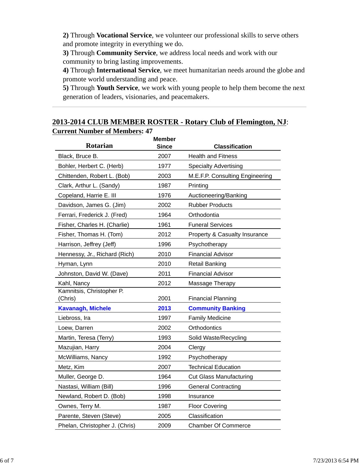**2)** Through **Vocational Service**, we volunteer our professional skills to serve others and promote integrity in everything we do.

**3)** Through **Community Service**, we address local needs and work with our community to bring lasting improvements.

**4)** Through **International Service**, we meet humanitarian needs around the globe and promote world understanding and peace.

**5)** Through **Youth Service**, we work with young people to help them become the next generation of leaders, visionaries, and peacemakers.

## **2013-2014 CLUB MEMBER ROSTER - Rotary Club of Flemington, NJ**: **Current Number of Members: 47**

| <b>Rotarian</b>                      | <b>Member</b><br>Since | <b>Classification</b>           |
|--------------------------------------|------------------------|---------------------------------|
| Black, Bruce B.                      | 2007                   | <b>Health and Fitness</b>       |
| Bohler, Herbert C. (Herb)            | 1977                   | <b>Specialty Advertising</b>    |
| Chittenden, Robert L. (Bob)          | 2003                   | M.E.F.P. Consulting Engineering |
| Clark, Arthur L. (Sandy)             | 1987                   | Printing                        |
| Copeland, Harrie E. III              | 1976                   | Auctioneering/Banking           |
| Davidson, James G. (Jim)             | 2002                   | <b>Rubber Products</b>          |
| Ferrari, Frederick J. (Fred)         | 1964                   | Orthodontia                     |
| Fisher, Charles H. (Charlie)         | 1961                   | <b>Funeral Services</b>         |
| Fisher, Thomas H. (Tom)              | 2012                   | Property & Casualty Insurance   |
| Harrison, Jeffrey (Jeff)             | 1996                   | Psychotherapy                   |
| Hennessy, Jr., Richard (Rich)        | 2010                   | <b>Financial Advisor</b>        |
| Hyman, Lynn                          | 2010                   | <b>Retail Banking</b>           |
| Johnston, David W. (Dave)            | 2011                   | <b>Financial Advisor</b>        |
| Kahl, Nancy                          | 2012                   | Massage Therapy                 |
| Kamnitsis, Christopher P.<br>(Chris) | 2001                   | <b>Financial Planning</b>       |
| <b>Kavanagh, Michele</b>             | 2013                   | <b>Community Banking</b>        |
| Liebross, Ira                        | 1997                   | <b>Family Medicine</b>          |
| Loew, Darren                         | 2002                   | Orthodontics                    |
| Martin, Teresa (Terry)               | 1993                   | Solid Waste/Recycling           |
| Mazujian, Harry                      | 2004                   | Clergy                          |
| McWilliams, Nancy                    | 1992                   | Psychotherapy                   |
| Metz, Kim                            | 2007                   | <b>Technical Education</b>      |
| Muller, George D.                    | 1964                   | <b>Cut Glass Manufacturing</b>  |
| Nastasi, William (Bill)              | 1996                   | <b>General Contracting</b>      |
| Newland, Robert D. (Bob)             | 1998                   | Insurance                       |
| Ownes, Terry M.                      | 1987                   | <b>Floor Covering</b>           |
| Parente, Steven (Steve)              | 2005                   | Classification                  |
| Phelan, Christopher J. (Chris)       | 2009                   | <b>Chamber Of Commerce</b>      |